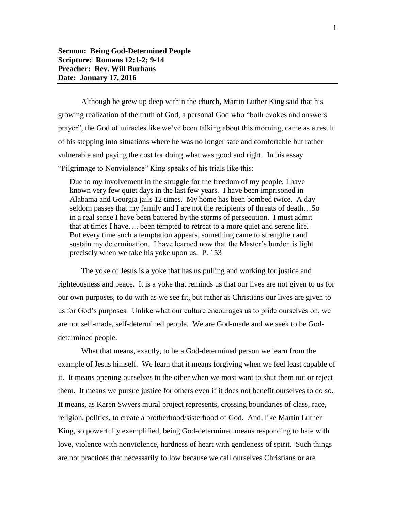Although he grew up deep within the church, Martin Luther King said that his growing realization of the truth of God, a personal God who "both evokes and answers prayer", the God of miracles like we've been talking about this morning, came as a result of his stepping into situations where he was no longer safe and comfortable but rather vulnerable and paying the cost for doing what was good and right. In his essay "Pilgrimage to Nonviolence" King speaks of his trials like this:

Due to my involvement in the struggle for the freedom of my people, I have known very few quiet days in the last few years. I have been imprisoned in Alabama and Georgia jails 12 times. My home has been bombed twice. A day seldom passes that my family and I are not the recipients of threats of death…So in a real sense I have been battered by the storms of persecution. I must admit that at times I have…. been tempted to retreat to a more quiet and serene life. But every time such a temptation appears, something came to strengthen and sustain my determination. I have learned now that the Master's burden is light precisely when we take his yoke upon us. P. 153

The yoke of Jesus is a yoke that has us pulling and working for justice and righteousness and peace. It is a yoke that reminds us that our lives are not given to us for our own purposes, to do with as we see fit, but rather as Christians our lives are given to us for God's purposes. Unlike what our culture encourages us to pride ourselves on, we are not self-made, self-determined people. We are God-made and we seek to be Goddetermined people.

What that means, exactly, to be a God-determined person we learn from the example of Jesus himself. We learn that it means forgiving when we feel least capable of it. It means opening ourselves to the other when we most want to shut them out or reject them. It means we pursue justice for others even if it does not benefit ourselves to do so. It means, as Karen Swyers mural project represents, crossing boundaries of class, race, religion, politics, to create a brotherhood/sisterhood of God. And, like Martin Luther King, so powerfully exemplified, being God-determined means responding to hate with love, violence with nonviolence, hardness of heart with gentleness of spirit. Such things are not practices that necessarily follow because we call ourselves Christians or are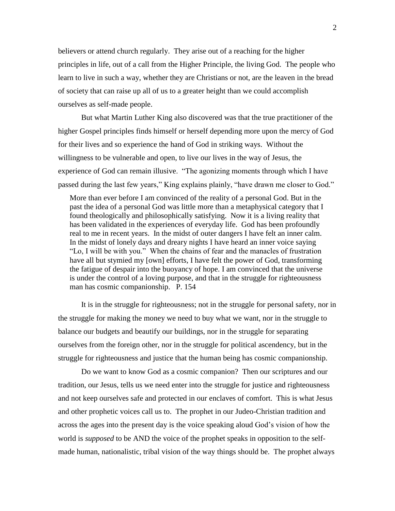believers or attend church regularly. They arise out of a reaching for the higher principles in life, out of a call from the Higher Principle, the living God. The people who learn to live in such a way, whether they are Christians or not, are the leaven in the bread of society that can raise up all of us to a greater height than we could accomplish ourselves as self-made people.

But what Martin Luther King also discovered was that the true practitioner of the higher Gospel principles finds himself or herself depending more upon the mercy of God for their lives and so experience the hand of God in striking ways. Without the willingness to be vulnerable and open, to live our lives in the way of Jesus, the experience of God can remain illusive. "The agonizing moments through which I have passed during the last few years," King explains plainly, "have drawn me closer to God."

More than ever before I am convinced of the reality of a personal God. But in the past the idea of a personal God was little more than a metaphysical category that I found theologically and philosophically satisfying. Now it is a living reality that has been validated in the experiences of everyday life. God has been profoundly real to me in recent years. In the midst of outer dangers I have felt an inner calm. In the midst of lonely days and dreary nights I have heard an inner voice saying "Lo, I will be with you." When the chains of fear and the manacles of frustration have all but stymied my [own] efforts, I have felt the power of God, transforming the fatigue of despair into the buoyancy of hope. I am convinced that the universe is under the control of a loving purpose, and that in the struggle for righteousness man has cosmic companionship. P. 154

It is in the struggle for righteousness; not in the struggle for personal safety, nor in the struggle for making the money we need to buy what we want, nor in the struggle to balance our budgets and beautify our buildings, nor in the struggle for separating ourselves from the foreign other, nor in the struggle for political ascendency, but in the struggle for righteousness and justice that the human being has cosmic companionship.

Do we want to know God as a cosmic companion? Then our scriptures and our tradition, our Jesus, tells us we need enter into the struggle for justice and righteousness and not keep ourselves safe and protected in our enclaves of comfort. This is what Jesus and other prophetic voices call us to. The prophet in our Judeo-Christian tradition and across the ages into the present day is the voice speaking aloud God's vision of how the world is *supposed* to be AND the voice of the prophet speaks in opposition to the selfmade human, nationalistic, tribal vision of the way things should be. The prophet always